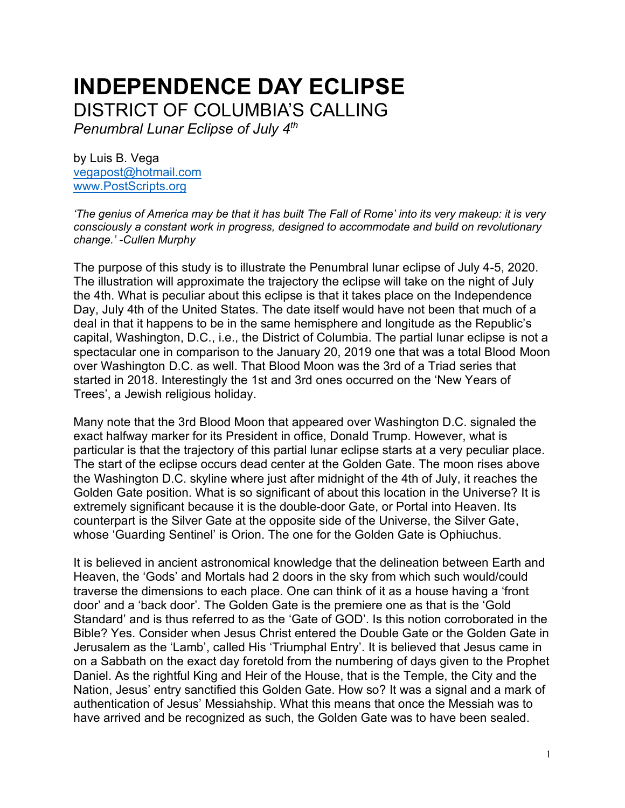# **INDEPENDENCE DAY ECLIPSE** DISTRICT OF COLUMBIA'S CALLING

*Penumbral Lunar Eclipse of July 4th*

by Luis B. Vega [vegapost@hotmail.com](mailto:vegapost@hotmail.com) [www.PostScripts.org](http://www.postscripts.org/)

*'The genius of America may be that it has built The Fall of Rome' into its very makeup: it is very consciously a constant work in progress, designed to accommodate and build on revolutionary change.' -Cullen Murphy*

The purpose of this study is to illustrate the Penumbral lunar eclipse of July 4-5, 2020. The illustration will approximate the trajectory the eclipse will take on the night of July the 4th. What is peculiar about this eclipse is that it takes place on the Independence Day, July 4th of the United States. The date itself would have not been that much of a deal in that it happens to be in the same hemisphere and longitude as the Republic's capital, Washington, D.C., i.e., the District of Columbia. The partial lunar eclipse is not a spectacular one in comparison to the January 20, 2019 one that was a total Blood Moon over Washington D.C. as well. That Blood Moon was the 3rd of a Triad series that started in 2018. Interestingly the 1st and 3rd ones occurred on the 'New Years of Trees', a Jewish religious holiday.

Many note that the 3rd Blood Moon that appeared over Washington D.C. signaled the exact halfway marker for its President in office, Donald Trump. However, what is particular is that the trajectory of this partial lunar eclipse starts at a very peculiar place. The start of the eclipse occurs dead center at the Golden Gate. The moon rises above the Washington D.C. skyline where just after midnight of the 4th of July, it reaches the Golden Gate position. What is so significant of about this location in the Universe? It is extremely significant because it is the double-door Gate, or Portal into Heaven. Its counterpart is the Silver Gate at the opposite side of the Universe, the Silver Gate, whose 'Guarding Sentinel' is Orion. The one for the Golden Gate is Ophiuchus.

It is believed in ancient astronomical knowledge that the delineation between Earth and Heaven, the 'Gods' and Mortals had 2 doors in the sky from which such would/could traverse the dimensions to each place. One can think of it as a house having a 'front door' and a 'back door'. The Golden Gate is the premiere one as that is the 'Gold Standard' and is thus referred to as the 'Gate of GOD'. Is this notion corroborated in the Bible? Yes. Consider when Jesus Christ entered the Double Gate or the Golden Gate in Jerusalem as the 'Lamb', called His 'Triumphal Entry'. It is believed that Jesus came in on a Sabbath on the exact day foretold from the numbering of days given to the Prophet Daniel. As the rightful King and Heir of the House, that is the Temple, the City and the Nation, Jesus' entry sanctified this Golden Gate. How so? It was a signal and a mark of authentication of Jesus' Messiahship. What this means that once the Messiah was to have arrived and be recognized as such, the Golden Gate was to have been sealed.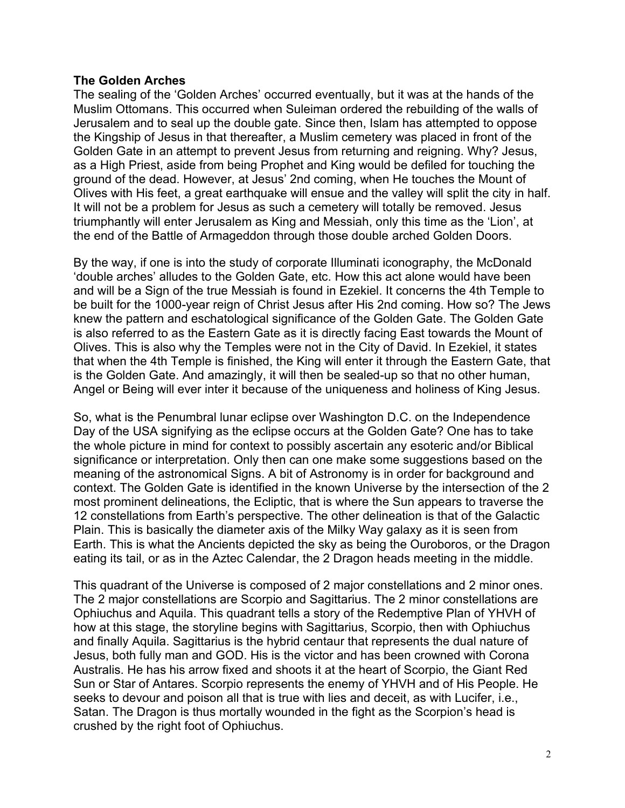#### **The Golden Arches**

The sealing of the 'Golden Arches' occurred eventually, but it was at the hands of the Muslim Ottomans. This occurred when Suleiman ordered the rebuilding of the walls of Jerusalem and to seal up the double gate. Since then, Islam has attempted to oppose the Kingship of Jesus in that thereafter, a Muslim cemetery was placed in front of the Golden Gate in an attempt to prevent Jesus from returning and reigning. Why? Jesus, as a High Priest, aside from being Prophet and King would be defiled for touching the ground of the dead. However, at Jesus' 2nd coming, when He touches the Mount of Olives with His feet, a great earthquake will ensue and the valley will split the city in half. It will not be a problem for Jesus as such a cemetery will totally be removed. Jesus triumphantly will enter Jerusalem as King and Messiah, only this time as the 'Lion', at the end of the Battle of Armageddon through those double arched Golden Doors.

By the way, if one is into the study of corporate Illuminati iconography, the McDonald 'double arches' alludes to the Golden Gate, etc. How this act alone would have been and will be a Sign of the true Messiah is found in Ezekiel. It concerns the 4th Temple to be built for the 1000-year reign of Christ Jesus after His 2nd coming. How so? The Jews knew the pattern and eschatological significance of the Golden Gate. The Golden Gate is also referred to as the Eastern Gate as it is directly facing East towards the Mount of Olives. This is also why the Temples were not in the City of David. In Ezekiel, it states that when the 4th Temple is finished, the King will enter it through the Eastern Gate, that is the Golden Gate. And amazingly, it will then be sealed-up so that no other human, Angel or Being will ever inter it because of the uniqueness and holiness of King Jesus.

So, what is the Penumbral lunar eclipse over Washington D.C. on the Independence Day of the USA signifying as the eclipse occurs at the Golden Gate? One has to take the whole picture in mind for context to possibly ascertain any esoteric and/or Biblical significance or interpretation. Only then can one make some suggestions based on the meaning of the astronomical Signs. A bit of Astronomy is in order for background and context. The Golden Gate is identified in the known Universe by the intersection of the 2 most prominent delineations, the Ecliptic, that is where the Sun appears to traverse the 12 constellations from Earth's perspective. The other delineation is that of the Galactic Plain. This is basically the diameter axis of the Milky Way galaxy as it is seen from Earth. This is what the Ancients depicted the sky as being the Ouroboros, or the Dragon eating its tail, or as in the Aztec Calendar, the 2 Dragon heads meeting in the middle.

This quadrant of the Universe is composed of 2 major constellations and 2 minor ones. The 2 major constellations are Scorpio and Sagittarius. The 2 minor constellations are Ophiuchus and Aquila. This quadrant tells a story of the Redemptive Plan of YHVH of how at this stage, the storyline begins with Sagittarius, Scorpio, then with Ophiuchus and finally Aquila. Sagittarius is the hybrid centaur that represents the dual nature of Jesus, both fully man and GOD. His is the victor and has been crowned with Corona Australis. He has his arrow fixed and shoots it at the heart of Scorpio, the Giant Red Sun or Star of Antares. Scorpio represents the enemy of YHVH and of His People. He seeks to devour and poison all that is true with lies and deceit, as with Lucifer, i.e., Satan. The Dragon is thus mortally wounded in the fight as the Scorpion's head is crushed by the right foot of Ophiuchus.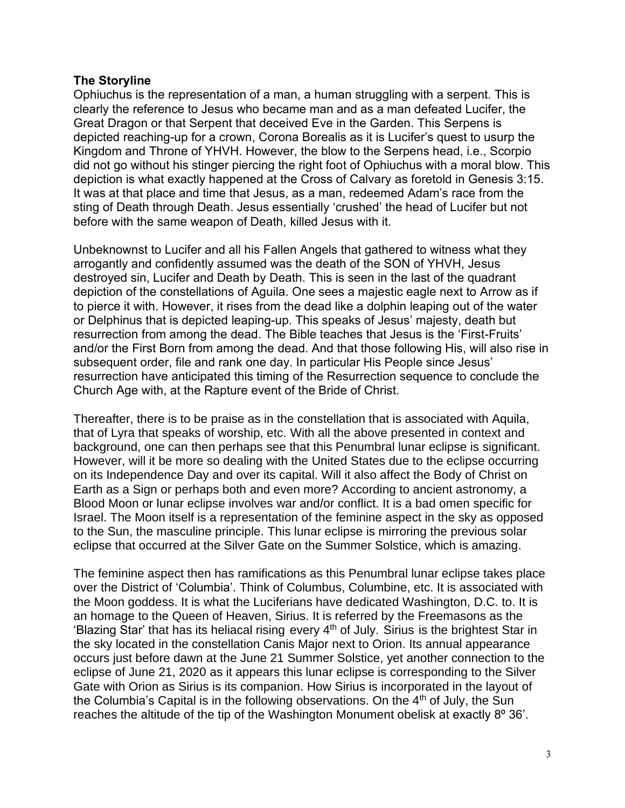## **The Storyline**

Ophiuchus is the representation of a man, a human struggling with a serpent. This is clearly the reference to Jesus who became man and as a man defeated Lucifer, the Great Dragon or that Serpent that deceived Eve in the Garden. This Serpens is depicted reaching-up for a crown, Corona Borealis as it is Lucifer's quest to usurp the Kingdom and Throne of YHVH. However, the blow to the Serpens head, i.e., Scorpio did not go without his stinger piercing the right foot of Ophiuchus with a moral blow. This depiction is what exactly happened at the Cross of Calvary as foretold in Genesis 3:15. It was at that place and time that Jesus, as a man, redeemed Adam's race from the sting of Death through Death. Jesus essentially 'crushed' the head of Lucifer but not before with the same weapon of Death, killed Jesus with it.

Unbeknownst to Lucifer and all his Fallen Angels that gathered to witness what they arrogantly and confidently assumed was the death of the SON of YHVH, Jesus destroyed sin, Lucifer and Death by Death. This is seen in the last of the quadrant depiction of the constellations of Aguila. One sees a majestic eagle next to Arrow as if to pierce it with. However, it rises from the dead like a dolphin leaping out of the water or Delphinus that is depicted leaping-up. This speaks of Jesus' majesty, death but resurrection from among the dead. The Bible teaches that Jesus is the 'First-Fruits' and/or the First Born from among the dead. And that those following His, will also rise in subsequent order, file and rank one day. In particular His People since Jesus' resurrection have anticipated this timing of the Resurrection sequence to conclude the Church Age with, at the Rapture event of the Bride of Christ.

Thereafter, there is to be praise as in the constellation that is associated with Aquila, that of Lyra that speaks of worship, etc. With all the above presented in context and background, one can then perhaps see that this Penumbral lunar eclipse is significant. However, will it be more so dealing with the United States due to the eclipse occurring on its Independence Day and over its capital. Will it also affect the Body of Christ on Earth as a Sign or perhaps both and even more? According to ancient astronomy, a Blood Moon or lunar eclipse involves war and/or conflict. It is a bad omen specific for Israel. The Moon itself is a representation of the feminine aspect in the sky as opposed to the Sun, the masculine principle. This lunar eclipse is mirroring the previous solar eclipse that occurred at the Silver Gate on the Summer Solstice, which is amazing.

The feminine aspect then has ramifications as this Penumbral lunar eclipse takes place over the District of 'Columbia'. Think of Columbus, Columbine, etc. It is associated with the Moon goddess. It is what the Luciferians have dedicated Washington, D.C. to. It is an homage to the Queen of Heaven, Sirius. It is referred by the Freemasons as the 'Blazing Star' that has its heliacal rising every  $4<sup>th</sup>$  of July. Sirius is the brightest Star in the sky located in the constellation Canis Major next to Orion. Its annual appearance occurs just before dawn at the June 21 Summer Solstice, yet another connection to the eclipse of June 21, 2020 as it appears this lunar eclipse is corresponding to the Silver Gate with Orion as Sirius is its companion. How Sirius is incorporated in the layout of the Columbia's Capital is in the following observations. On the  $4<sup>th</sup>$  of July, the Sun reaches the altitude of the tip of the Washington Monument obelisk at exactly 8º 36'.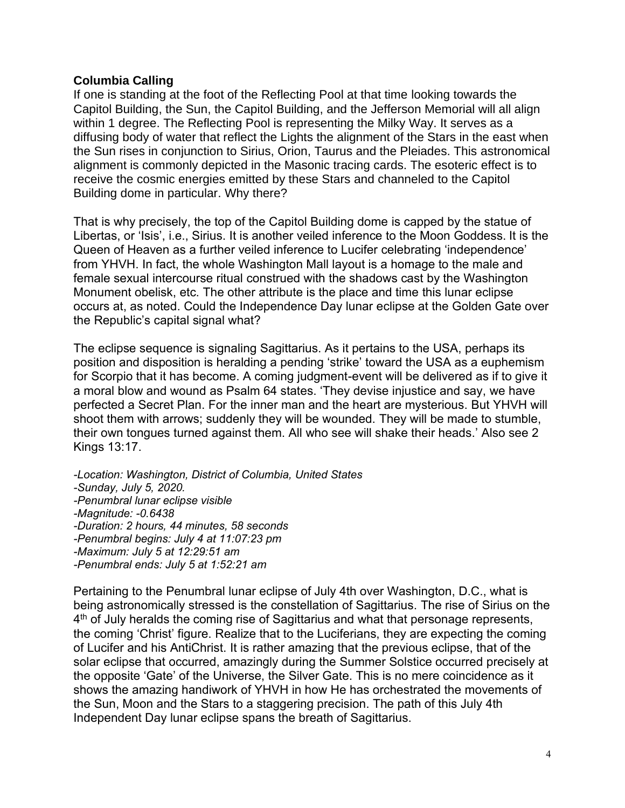## **Columbia Calling**

If one is standing at the foot of the Reflecting Pool at that time looking towards the Capitol Building, the Sun, the Capitol Building, and the Jefferson Memorial will all align within 1 degree. The Reflecting Pool is representing the Milky Way. It serves as a diffusing body of water that reflect the Lights the alignment of the Stars in the east when the Sun rises in conjunction to Sirius, Orion, Taurus and the Pleiades. This astronomical alignment is commonly depicted in the Masonic tracing cards. The esoteric effect is to receive the cosmic energies emitted by these Stars and channeled to the Capitol Building dome in particular. Why there?

That is why precisely, the top of the Capitol Building dome is capped by the statue of Libertas, or 'Isis', i.e., Sirius. It is another veiled inference to the Moon Goddess. It is the Queen of Heaven as a further veiled inference to Lucifer celebrating 'independence' from YHVH. In fact, the whole Washington Mall layout is a homage to the male and female sexual intercourse ritual construed with the shadows cast by the Washington Monument obelisk, etc. The other attribute is the place and time this lunar eclipse occurs at, as noted. Could the Independence Day lunar eclipse at the Golden Gate over the Republic's capital signal what?

The eclipse sequence is signaling Sagittarius. As it pertains to the USA, perhaps its position and disposition is heralding a pending 'strike' toward the USA as a euphemism for Scorpio that it has become. A coming judgment-event will be delivered as if to give it a moral blow and wound as Psalm 64 states. 'They devise injustice and say, we have perfected a Secret Plan. For the inner man and the heart are mysterious. But YHVH will shoot them with arrows; suddenly they will be wounded. They will be made to stumble, their own tongues turned against them. All who see will shake their heads.' Also see 2 Kings 13:17.

*-Location: Washington, District of Columbia, United States -Sunday, July 5, 2020. -Penumbral lunar eclipse visible -Magnitude: -0.6438 -Duration: 2 hours, 44 minutes, 58 seconds -Penumbral begins: July 4 at 11:07:23 pm -Maximum: July 5 at 12:29:51 am -Penumbral ends: July 5 at 1:52:21 am*

Pertaining to the Penumbral lunar eclipse of July 4th over Washington, D.C., what is being astronomically stressed is the constellation of Sagittarius. The rise of Sirius on the 4<sup>th</sup> of July heralds the coming rise of Sagittarius and what that personage represents, the coming 'Christ' figure. Realize that to the Luciferians, they are expecting the coming of Lucifer and his AntiChrist. It is rather amazing that the previous eclipse, that of the solar eclipse that occurred, amazingly during the Summer Solstice occurred precisely at the opposite 'Gate' of the Universe, the Silver Gate. This is no mere coincidence as it shows the amazing handiwork of YHVH in how He has orchestrated the movements of the Sun, Moon and the Stars to a staggering precision. The path of this July 4th Independent Day lunar eclipse spans the breath of Sagittarius.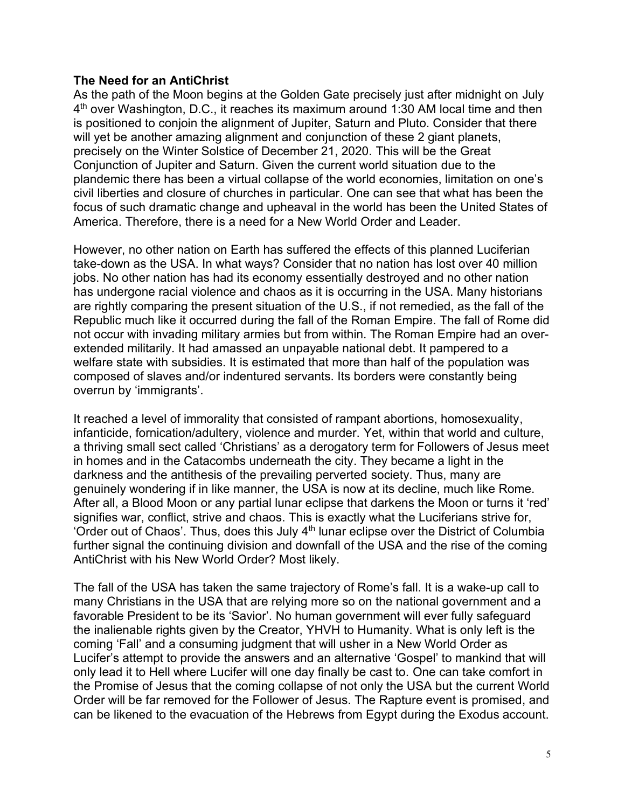## **The Need for an AntiChrist**

As the path of the Moon begins at the Golden Gate precisely just after midnight on July 4<sup>th</sup> over Washington, D.C., it reaches its maximum around 1:30 AM local time and then is positioned to conjoin the alignment of Jupiter, Saturn and Pluto. Consider that there will yet be another amazing alignment and conjunction of these 2 giant planets, precisely on the Winter Solstice of December 21, 2020. This will be the Great Conjunction of Jupiter and Saturn. Given the current world situation due to the plandemic there has been a virtual collapse of the world economies, limitation on one's civil liberties and closure of churches in particular. One can see that what has been the focus of such dramatic change and upheaval in the world has been the United States of America. Therefore, there is a need for a New World Order and Leader.

However, no other nation on Earth has suffered the effects of this planned Luciferian take-down as the USA. In what ways? Consider that no nation has lost over 40 million jobs. No other nation has had its economy essentially destroyed and no other nation has undergone racial violence and chaos as it is occurring in the USA. Many historians are rightly comparing the present situation of the U.S., if not remedied, as the fall of the Republic much like it occurred during the fall of the Roman Empire. The fall of Rome did not occur with invading military armies but from within. The Roman Empire had an overextended militarily. It had amassed an unpayable national debt. It pampered to a welfare state with subsidies. It is estimated that more than half of the population was composed of slaves and/or indentured servants. Its borders were constantly being overrun by 'immigrants'.

It reached a level of immorality that consisted of rampant abortions, homosexuality, infanticide, fornication/adultery, violence and murder. Yet, within that world and culture, a thriving small sect called 'Christians' as a derogatory term for Followers of Jesus meet in homes and in the Catacombs underneath the city. They became a light in the darkness and the antithesis of the prevailing perverted society. Thus, many are genuinely wondering if in like manner, the USA is now at its decline, much like Rome. After all, a Blood Moon or any partial lunar eclipse that darkens the Moon or turns it 'red' signifies war, conflict, strive and chaos. This is exactly what the Luciferians strive for, 'Order out of Chaos'. Thus, does this July  $4<sup>th</sup>$  lunar eclipse over the District of Columbia further signal the continuing division and downfall of the USA and the rise of the coming AntiChrist with his New World Order? Most likely.

The fall of the USA has taken the same trajectory of Rome's fall. It is a wake-up call to many Christians in the USA that are relying more so on the national government and a favorable President to be its 'Savior'. No human government will ever fully safeguard the inalienable rights given by the Creator, YHVH to Humanity. What is only left is the coming 'Fall' and a consuming judgment that will usher in a New World Order as Lucifer's attempt to provide the answers and an alternative 'Gospel' to mankind that will only lead it to Hell where Lucifer will one day finally be cast to. One can take comfort in the Promise of Jesus that the coming collapse of not only the USA but the current World Order will be far removed for the Follower of Jesus. The Rapture event is promised, and can be likened to the evacuation of the Hebrews from Egypt during the Exodus account.